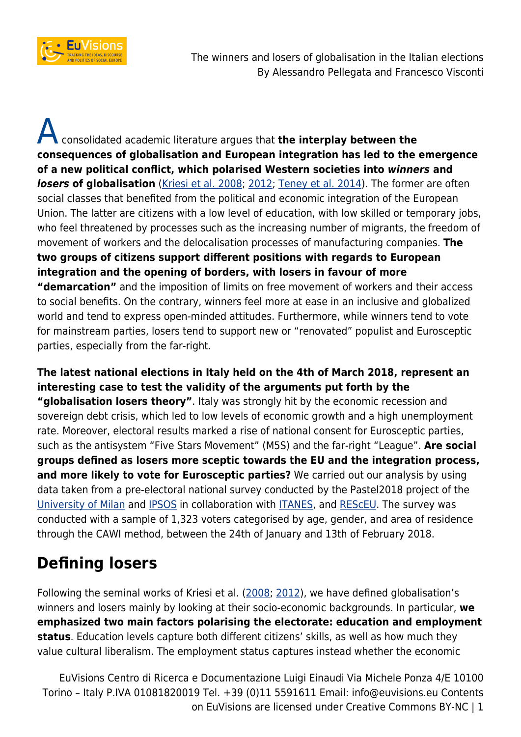

A consolidated academic literature argues that **the interplay between the consequences of globalisation and European integration has led to the emergence of a new political conflict, which polarised Western societies into** *winners* **and losers of globalisation** [\(Kriesi et al. 2008;](http://www.cambridge.org/de/academic/subjects/politics-international-relations/european-government-politics-and-policy/west-european-politics-age-globalization?format=PB&isbn=9780521719902#cYhBeU1PYLwWy07z.97) [2012](http://www.cambridge.org/de/academic/subjects/politics-international-relations/european-government-politics-and-policy/political-conflict-western-europe?format=PB&isbn=9781107625945#Agf2gHpK7PKs9IWb.97); [Teney et al. 2014](https://www.cambridge.org/core/journals/european-political-science-review/article/winners-and-losers-of-globalization-in-europe-attitudes-and-ideologies/147B6E287DA180FA32A5A57A45829CB3)). The former are often social classes that benefited from the political and economic integration of the European Union. The latter are citizens with a low level of education, with low skilled or temporary jobs, who feel threatened by processes such as the increasing number of migrants, the freedom of movement of workers and the delocalisation processes of manufacturing companies. **The two groups of citizens support different positions with regards to European integration and the opening of borders, with losers in favour of more "demarcation"** and the imposition of limits on free movement of workers and their access to social benefits. On the contrary, winners feel more at ease in an inclusive and globalized world and tend to express open-minded attitudes. Furthermore, while winners tend to vote for mainstream parties, losers tend to support new or "renovated" populist and Eurosceptic

parties, especially from the far-right.

**The latest national elections in Italy held on the 4th of March 2018, represent an interesting case to test the validity of the arguments put forth by the "globalisation losers theory"**. Italy was strongly hit by the economic recession and sovereign debt crisis, which led to low levels of economic growth and a high unemployment rate. Moreover, electoral results marked a rise of national consent for Eurosceptic parties, such as the antisystem "Five Stars Movement" (M5S) and the far-right "League". **Are social groups defined as losers more sceptic towards the EU and the integration process, and more likely to vote for Eurosceptic parties?** We carried out our analysis by using data taken from a pre-electoral national survey conducted by the Pastel2018 project of the [University of Milan](http://www.unimi.it/) and [IPSOS](https://www.ipsos.com/it-it) in collaboration with [ITANES,](http://www.itanes.org/) and [REScEU](http://www.resceu.eu/). The survey was conducted with a sample of 1,323 voters categorised by age, gender, and area of residence through the CAWI method, between the 24th of January and 13th of February 2018.

## **Defining losers**

Following the seminal works of Kriesi et al. ([2008](http://www.cambridge.org/de/academic/subjects/politics-international-relations/european-government-politics-and-policy/west-european-politics-age-globalization?format=PB&isbn=9780521719902#cYhBeU1PYLwWy07z.97); [2012\)](http://www.cambridge.org/de/academic/subjects/politics-international-relations/european-government-politics-and-policy/political-conflict-western-europe?format=PB&isbn=9781107625945#ByJqrxKIXPhgYqSX.97), we have defined globalisation's winners and losers mainly by looking at their socio-economic backgrounds. In particular, **we emphasized two main factors polarising the electorate: education and employment status**. Education levels capture both different citizens' skills, as well as how much they value cultural liberalism. The employment status captures instead whether the economic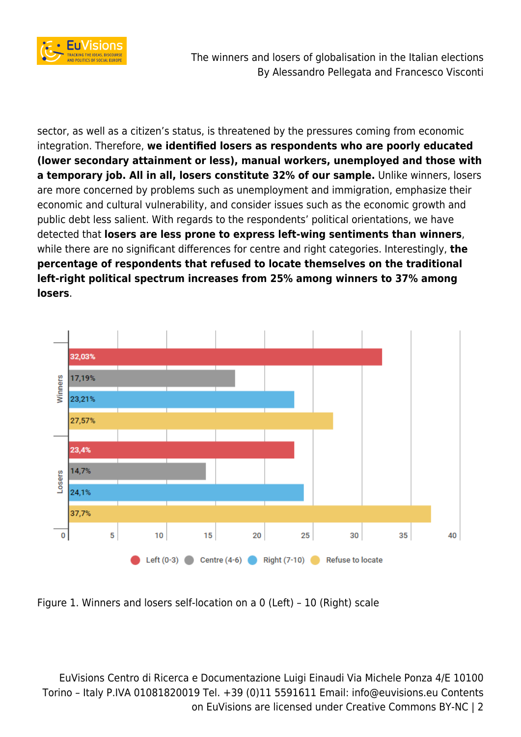

sector, as well as a citizen's status, is threatened by the pressures coming from economic integration. Therefore, **we identified losers as respondents who are poorly educated (lower secondary attainment or less), manual workers, unemployed and those with a temporary job. All in all, losers constitute 32% of our sample.** Unlike winners, losers are more concerned by problems such as unemployment and immigration, emphasize their economic and cultural vulnerability, and consider issues such as the economic growth and public debt less salient. With regards to the respondents' political orientations, we have detected that **losers are less prone to express left-wing sentiments than winners**, while there are no significant differences for centre and right categories. Interestingly, **the percentage of respondents that refused to locate themselves on the traditional left-right political spectrum increases from 25% among winners to 37% among losers**.



Figure 1. Winners and losers self-location on a 0 (Left) – 10 (Right) scale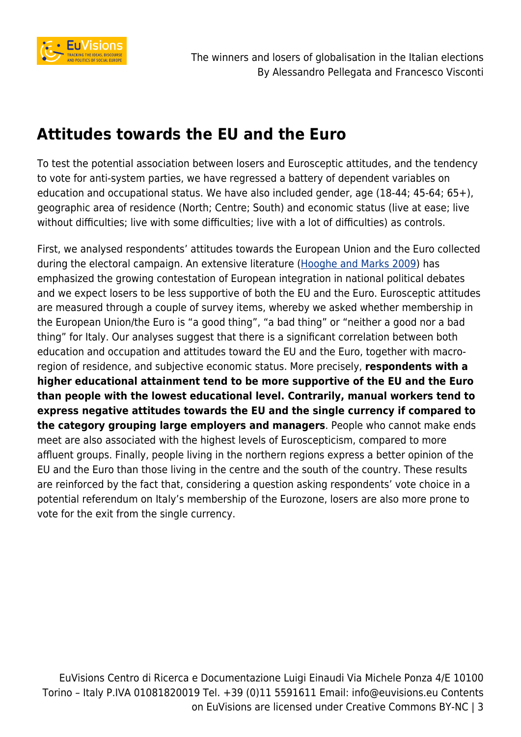

## **Attitudes towards the EU and the Euro**

To test the potential association between losers and Eurosceptic attitudes, and the tendency to vote for anti-system parties, we have regressed a battery of dependent variables on education and occupational status. We have also included gender, age (18-44; 45-64; 65+), geographic area of residence (North; Centre; South) and economic status (live at ease; live without difficulties; live with some difficulties; live with a lot of difficulties) as controls.

First, we analysed respondents' attitudes towards the European Union and the Euro collected during the electoral campaign. An extensive literature ([Hooghe and Marks 2009\)](https://www.cambridge.org/core/journals/british-journal-of-political-science/article/postfunctionalist-theory-of-european-integration-from-permissive-consensus-to-constraining-dissensus/60EA0C58491C06327A235761B08878D6) has emphasized the growing contestation of European integration in national political debates and we expect losers to be less supportive of both the EU and the Euro. Eurosceptic attitudes are measured through a couple of survey items, whereby we asked whether membership in the European Union/the Euro is "a good thing", "a bad thing" or "neither a good nor a bad thing" for Italy. Our analyses suggest that there is a significant correlation between both education and occupation and attitudes toward the EU and the Euro, together with macroregion of residence, and subjective economic status. More precisely, **respondents with a higher educational attainment tend to be more supportive of the EU and the Euro than people with the lowest educational level. Contrarily, manual workers tend to express negative attitudes towards the EU and the single currency if compared to the category grouping large employers and managers**. People who cannot make ends meet are also associated with the highest levels of Euroscepticism, compared to more affluent groups. Finally, people living in the northern regions express a better opinion of the EU and the Euro than those living in the centre and the south of the country. These results are reinforced by the fact that, considering a question asking respondents' vote choice in a potential referendum on Italy's membership of the Eurozone, losers are also more prone to vote for the exit from the single currency.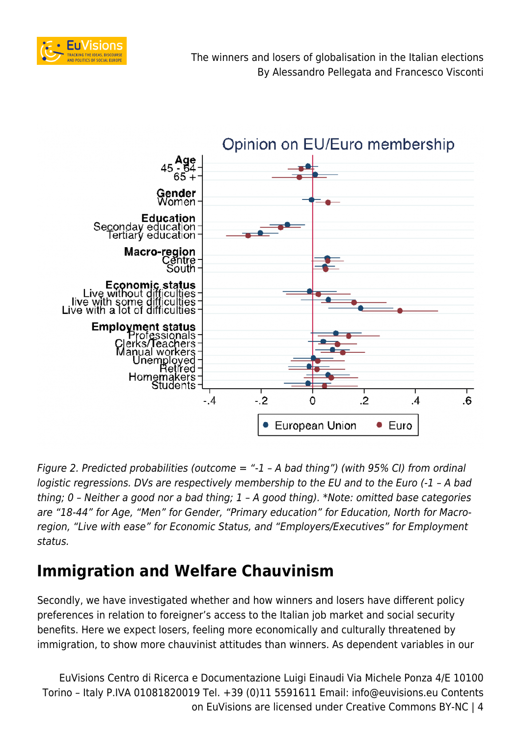



Figure 2. Predicted probabilities (outcome  $=$  "-1 - A bad thing") (with 95% CI) from ordinal logistic regressions. DVs are respectively membership to the EU and to the Euro (-1 - A bad thing; 0 – Neither a good nor a bad thing; 1 – A good thing). \*Note: omitted base categories are "18-44" for Age, "Men" for Gender, "Primary education" for Education, North for Macroregion, "Live with ease" for Economic Status, and "Employers/Executives" for Employment status.

## **Immigration and Welfare Chauvinism**

Secondly, we have investigated whether and how winners and losers have different policy preferences in relation to foreigner's access to the Italian job market and social security benefits. Here we expect losers, feeling more economically and culturally threatened by immigration, to show more chauvinist attitudes than winners. As dependent variables in our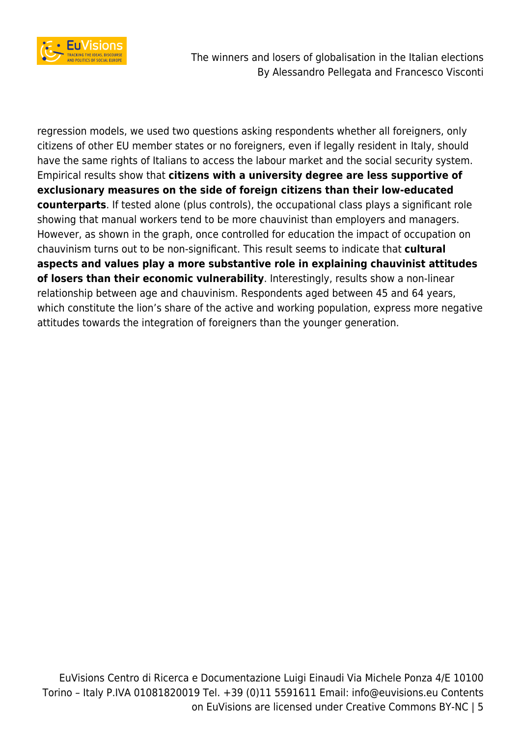

The winners and losers of globalisation in the Italian elections By Alessandro Pellegata and Francesco Visconti

regression models, we used two questions asking respondents whether all foreigners, only citizens of other EU member states or no foreigners, even if legally resident in Italy, should have the same rights of Italians to access the labour market and the social security system. Empirical results show that **citizens with a university degree are less supportive of exclusionary measures on the side of foreign citizens than their low-educated counterparts**. If tested alone (plus controls), the occupational class plays a significant role showing that manual workers tend to be more chauvinist than employers and managers. However, as shown in the graph, once controlled for education the impact of occupation on chauvinism turns out to be non-significant. This result seems to indicate that **cultural aspects and values play a more substantive role in explaining chauvinist attitudes of losers than their economic vulnerability**. Interestingly, results show a non-linear relationship between age and chauvinism. Respondents aged between 45 and 64 years, which constitute the lion's share of the active and working population, express more negative attitudes towards the integration of foreigners than the younger generation.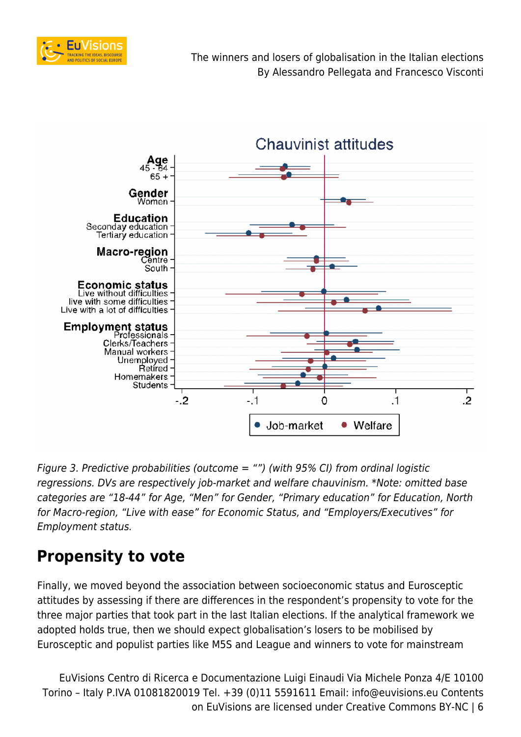



Figure 3. Predictive probabilities (outcome  $=$  "") (with 95% CI) from ordinal logistic regressions. DVs are respectively job-market and welfare chauvinism. \*Note: omitted base categories are "18-44" for Age, "Men" for Gender, "Primary education" for Education, North for Macro-region, "Live with ease" for Economic Status, and "Employers/Executives" for Employment status.

## **Propensity to vote**

Finally, we moved beyond the association between socioeconomic status and Eurosceptic attitudes by assessing if there are differences in the respondent's propensity to vote for the three major parties that took part in the last Italian elections. If the analytical framework we adopted holds true, then we should expect globalisation's losers to be mobilised by Eurosceptic and populist parties like M5S and League and winners to vote for mainstream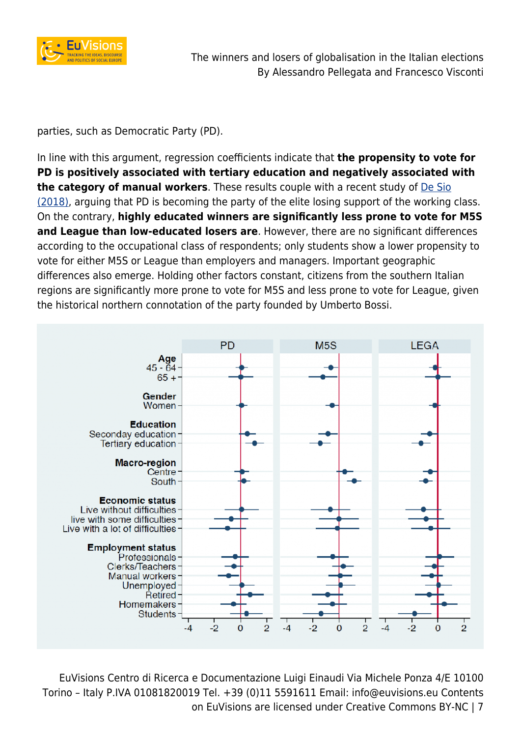

parties, such as Democratic Party (PD).

In line with this argument, regression coefficients indicate that **the propensity to vote for PD is positively associated with tertiary education and negatively associated with the category of manual workers**. These results couple with a recent study of [De Sio](https://cise.luiss.it/cise/2018/03/06/il-ritorno-del-voto-di-classe-ma-al-contrario-ovvero-se-il-pd-e-il-partito-delle-elite/) [\(2018\)](https://cise.luiss.it/cise/2018/03/06/il-ritorno-del-voto-di-classe-ma-al-contrario-ovvero-se-il-pd-e-il-partito-delle-elite/), arguing that PD is becoming the party of the elite losing support of the working class. On the contrary, **highly educated winners are significantly less prone to vote for M5S and League than low-educated losers are**. However, there are no significant differences according to the occupational class of respondents; only students show a lower propensity to vote for either M5S or League than employers and managers. Important geographic differences also emerge. Holding other factors constant, citizens from the southern Italian regions are significantly more prone to vote for M5S and less prone to vote for League, given the historical northern connotation of the party founded by Umberto Bossi.